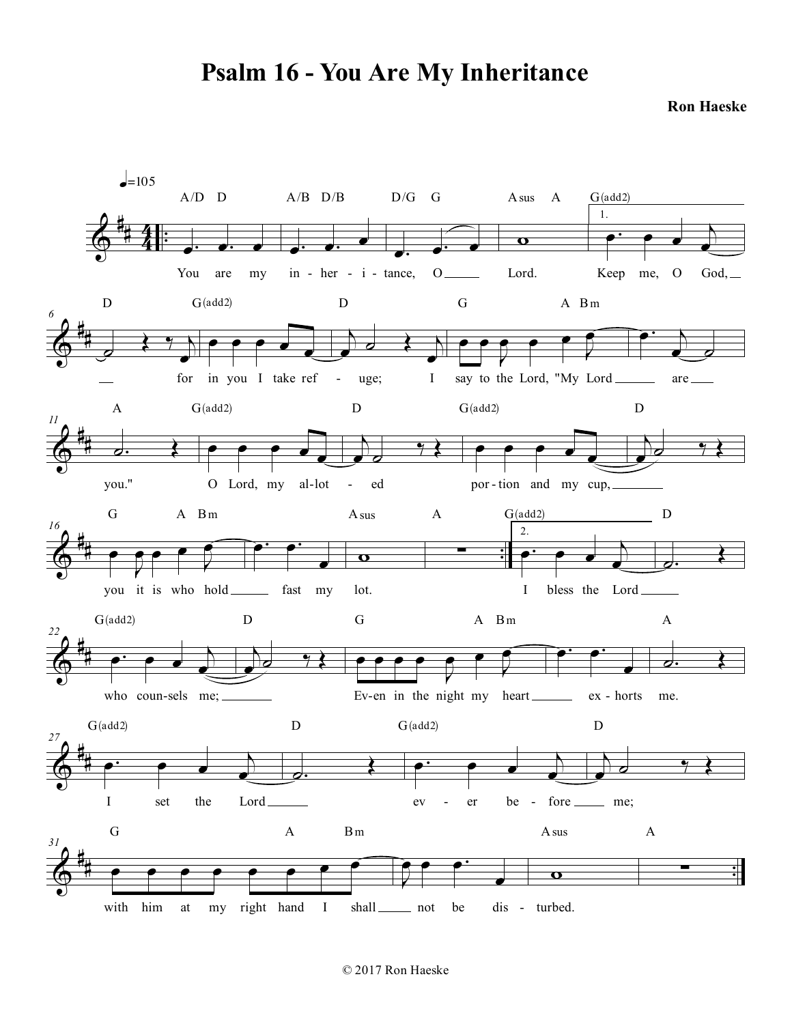## **Psalm 16 - You Are My Inheritance**

**Ron Haeske**